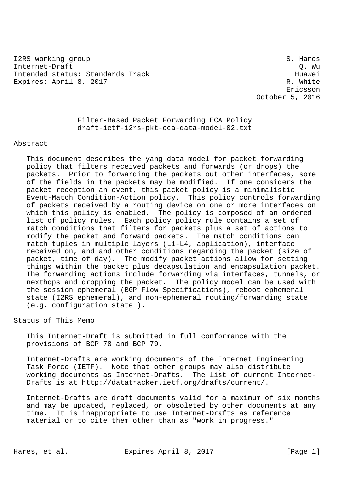I2RS working group states and states and states of the states of the states of the states of the states of the states of the states of the states of the states of the states of the states of the states of the states of the Internet-Draft Q. Wu Intended status: Standards Track Huawei Expires: April 8, 2017 R. White

 Ericsson October 5, 2016

> Filter-Based Packet Forwarding ECA Policy draft-ietf-i2rs-pkt-eca-data-model-02.txt

## Abstract

 This document describes the yang data model for packet forwarding policy that filters received packets and forwards (or drops) the packets. Prior to forwarding the packets out other interfaces, some of the fields in the packets may be modified. If one considers the packet reception an event, this packet policy is a minimalistic Event-Match Condition-Action policy. This policy controls forwarding of packets received by a routing device on one or more interfaces on which this policy is enabled. The policy is composed of an ordered list of policy rules. Each policy policy rule contains a set of match conditions that filters for packets plus a set of actions to modify the packet and forward packets. The match conditions can match tuples in multiple layers (L1-L4, application), interface received on, and and other conditions regarding the packet (size of packet, time of day). The modify packet actions allow for setting things within the packet plus decapsulation and encapsulation packet. The forwarding actions include forwarding via interfaces, tunnels, or nexthops and dropping the packet. The policy model can be used with the session ephemeral (BGP Flow Specifications), reboot ephemeral state (I2RS ephemeral), and non-ephemeral routing/forwarding state (e.g. configuration state ).

Status of This Memo

 This Internet-Draft is submitted in full conformance with the provisions of BCP 78 and BCP 79.

 Internet-Drafts are working documents of the Internet Engineering Task Force (IETF). Note that other groups may also distribute working documents as Internet-Drafts. The list of current Internet- Drafts is at http://datatracker.ietf.org/drafts/current/.

 Internet-Drafts are draft documents valid for a maximum of six months and may be updated, replaced, or obsoleted by other documents at any time. It is inappropriate to use Internet-Drafts as reference material or to cite them other than as "work in progress."

Hares, et al. Expires April 8, 2017 [Page 1]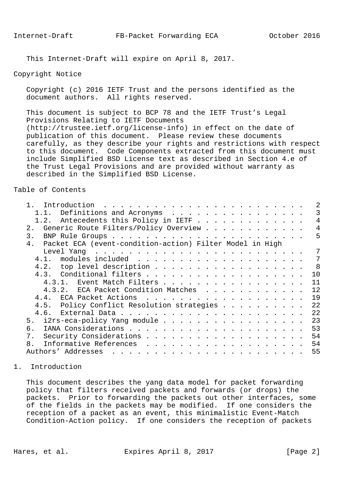This Internet-Draft will expire on April 8, 2017.

## Copyright Notice

 Copyright (c) 2016 IETF Trust and the persons identified as the document authors. All rights reserved.

 This document is subject to BCP 78 and the IETF Trust's Legal Provisions Relating to IETF Documents (http://trustee.ietf.org/license-info) in effect on the date of publication of this document. Please review these documents carefully, as they describe your rights and restrictions with respect to this document. Code Components extracted from this document must include Simplified BSD License text as described in Section 4.e of the Trust Legal Provisions and are provided without warranty as described in the Simplified BSD License.

## Table of Contents

| 1.1. Definitions and Acronyms                                                                                                                                                                                                                                                                                                                                                                                                                                                                               | 3              |
|-------------------------------------------------------------------------------------------------------------------------------------------------------------------------------------------------------------------------------------------------------------------------------------------------------------------------------------------------------------------------------------------------------------------------------------------------------------------------------------------------------------|----------------|
| 1.2. Antecedents this Policy in IETF                                                                                                                                                                                                                                                                                                                                                                                                                                                                        | 4              |
| Generic Route Filters/Policy Overview<br>2.                                                                                                                                                                                                                                                                                                                                                                                                                                                                 | $\overline{4}$ |
| 3.                                                                                                                                                                                                                                                                                                                                                                                                                                                                                                          | 5              |
| Packet ECA (event-condition-action) Filter Model in High<br>4.                                                                                                                                                                                                                                                                                                                                                                                                                                              |                |
|                                                                                                                                                                                                                                                                                                                                                                                                                                                                                                             |                |
|                                                                                                                                                                                                                                                                                                                                                                                                                                                                                                             | 7              |
| 4.2. top level description                                                                                                                                                                                                                                                                                                                                                                                                                                                                                  | 8 <sup>8</sup> |
|                                                                                                                                                                                                                                                                                                                                                                                                                                                                                                             | 10             |
| 4.3.1. Event Match Filters                                                                                                                                                                                                                                                                                                                                                                                                                                                                                  | 11             |
| 4.3.2. ECA Packet Condition Matches                                                                                                                                                                                                                                                                                                                                                                                                                                                                         | 12             |
|                                                                                                                                                                                                                                                                                                                                                                                                                                                                                                             | 19             |
| 4.5. Policy Conflict Resolution strategies                                                                                                                                                                                                                                                                                                                                                                                                                                                                  | 22             |
|                                                                                                                                                                                                                                                                                                                                                                                                                                                                                                             | 22             |
| 5. i2rs-eca-policy Yang module                                                                                                                                                                                                                                                                                                                                                                                                                                                                              | 23             |
| б.                                                                                                                                                                                                                                                                                                                                                                                                                                                                                                          | 53             |
| 7.                                                                                                                                                                                                                                                                                                                                                                                                                                                                                                          | 54             |
| 8 <sub>1</sub>                                                                                                                                                                                                                                                                                                                                                                                                                                                                                              | 54             |
| Authors' Addresses<br>$\mathbf{1} \quad \mathbf{1} \quad \mathbf{1} \quad \mathbf{1} \quad \mathbf{1} \quad \mathbf{1} \quad \mathbf{1} \quad \mathbf{1} \quad \mathbf{1} \quad \mathbf{1} \quad \mathbf{1} \quad \mathbf{1} \quad \mathbf{1} \quad \mathbf{1} \quad \mathbf{1} \quad \mathbf{1} \quad \mathbf{1} \quad \mathbf{1} \quad \mathbf{1} \quad \mathbf{1} \quad \mathbf{1} \quad \mathbf{1} \quad \mathbf{1} \quad \mathbf{1} \quad \mathbf{1} \quad \mathbf{1} \quad \mathbf{1} \quad \mathbf{$ | 55             |
|                                                                                                                                                                                                                                                                                                                                                                                                                                                                                                             |                |

# 1. Introduction

 This document describes the yang data model for packet forwarding policy that filters received packets and forwards (or drops) the packets. Prior to forwarding the packets out other interfaces, some of the fields in the packets may be modified. If one considers the reception of a packet as an event, this minimalistic Event-Match Condition-Action policy. If one considers the reception of packets

Hares, et al. Expires April 8, 2017 [Page 2]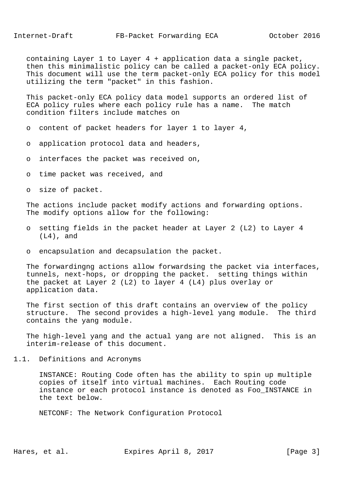containing Layer 1 to Layer 4 + application data a single packet, then this minimalistic policy can be called a packet-only ECA policy. This document will use the term packet-only ECA policy for this model utilizing the term "packet" in this fashion.

 This packet-only ECA policy data model supports an ordered list of ECA policy rules where each policy rule has a name. The match condition filters include matches on

- o content of packet headers for layer 1 to layer 4,
- o application protocol data and headers,
- o interfaces the packet was received on,
- o time packet was received, and
- o size of packet.

 The actions include packet modify actions and forwarding options. The modify options allow for the following:

- o setting fields in the packet header at Layer 2 (L2) to Layer 4 (L4), and
- o encapsulation and decapsulation the packet.

 The forwardingng actions allow forwardsing the packet via interfaces, tunnels, next-hops, or dropping the packet. setting things within the packet at Layer 2 (L2) to layer 4 (L4) plus overlay or application data.

 The first section of this draft contains an overview of the policy structure. The second provides a high-level yang module. The third contains the yang module.

 The high-level yang and the actual yang are not aligned. This is an interim-release of this document.

1.1. Definitions and Acronyms

 INSTANCE: Routing Code often has the ability to spin up multiple copies of itself into virtual machines. Each Routing code instance or each protocol instance is denoted as Foo\_INSTANCE in the text below.

NETCONF: The Network Configuration Protocol

Hares, et al. Expires April 8, 2017 [Page 3]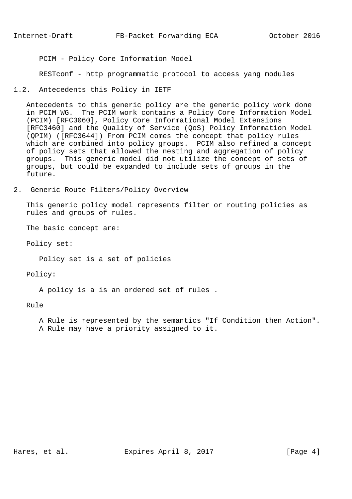PCIM - Policy Core Information Model

RESTconf - http programmatic protocol to access yang modules

1.2. Antecedents this Policy in IETF

 Antecedents to this generic policy are the generic policy work done in PCIM WG. The PCIM work contains a Policy Core Information Model (PCIM) [RFC3060], Policy Core Informational Model Extensions [RFC3460] and the Quality of Service (QoS) Policy Information Model (QPIM) ([RFC3644]) From PCIM comes the concept that policy rules which are combined into policy groups. PCIM also refined a concept of policy sets that allowed the nesting and aggregation of policy groups. This generic model did not utilize the concept of sets of groups, but could be expanded to include sets of groups in the future.

2. Generic Route Filters/Policy Overview

 This generic policy model represents filter or routing policies as rules and groups of rules.

The basic concept are:

Policy set:

Policy set is a set of policies

Policy:

A policy is a is an ordered set of rules .

Rule

 A Rule is represented by the semantics "If Condition then Action". A Rule may have a priority assigned to it.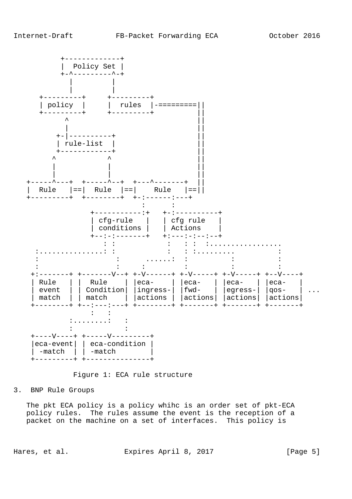

Figure 1: ECA rule structure

3. BNP Rule Groups

 The pkt ECA policy is a policy whihc is an order set of pkt-ECA policy rules. The rules assume the event is the reception of a packet on the machine on a set of interfaces. This policy is

Hares, et al. Expires April 8, 2017 [Page 5]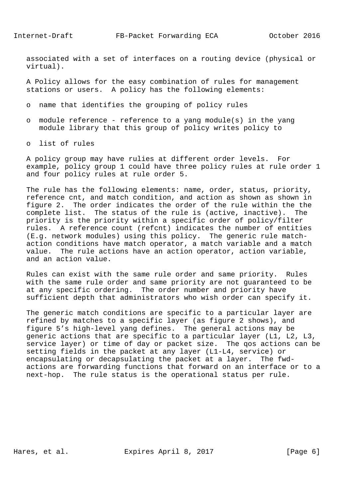associated with a set of interfaces on a routing device (physical or virtual).

 A Policy allows for the easy combination of rules for management stations or users. A policy has the following elements:

- o name that identifies the grouping of policy rules
- o module reference reference to a yang module(s) in the yang module library that this group of policy writes policy to
- o list of rules

 A policy group may have rulies at different order levels. For example, policy group 1 could have three policy rules at rule order 1 and four policy rules at rule order 5.

 The rule has the following elements: name, order, status, priority, reference cnt, and match condition, and action as shown as shown in figure 2. The order indicates the order of the rule within the the complete list. The status of the rule is (active, inactive). The priority is the priority within a specific order of policy/filter rules. A reference count (refcnt) indicates the number of entities (E.g. network modules) using this policy. The generic rule match action conditions have match operator, a match variable and a match value. The rule actions have an action operator, action variable, and an action value.

 Rules can exist with the same rule order and same priority. Rules with the same rule order and same priority are not guaranteed to be at any specific ordering. The order number and priority have sufficient depth that administrators who wish order can specify it.

 The generic match conditions are specific to a particular layer are refined by matches to a specific layer (as figure 2 shows), and figure 5's high-level yang defines. The general actions may be generic actions that are specific to a particular layer (L1, L2, L3, service layer) or time of day or packet size. The qos actions can be setting fields in the packet at any layer (L1-L4, service) or encapsulating or decapsulating the packet at a layer. The fwd actions are forwarding functions that forward on an interface or to a next-hop. The rule status is the operational status per rule.

Hares, et al. Expires April 8, 2017 [Page 6]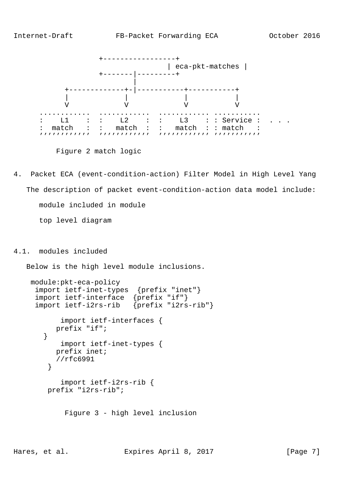

Figure 2 match logic

4. Packet ECA (event-condition-action) Filter Model in High Level Yang The description of packet event-condition-action data model include: module included in module top level diagram

4.1. modules included

Below is the high level module inclusions.

```
 module:pkt-eca-policy
      import ietf-inet-types {prefix "inet"}
      import ietf-interface {prefix "if"}
      import ietf-i2rs-rib {prefix "i2rs-rib"}
            import ietf-interfaces {
          prefix "if";
        }
           import ietf-inet-types {
          prefix inet;
         //rfc6991
 }
            import ietf-i2rs-rib {
        prefix "i2rs-rib";
```
Figure 3 - high level inclusion

Hares, et al. Expires April 8, 2017 [Page 7]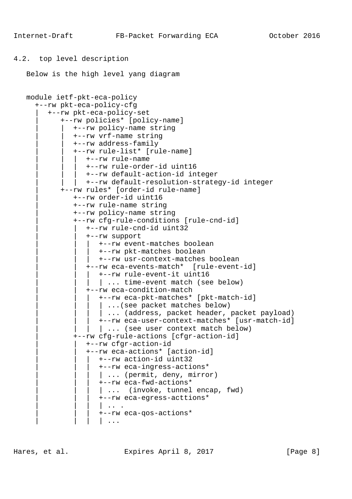```
4.2. top level description
```

```
 Below is the high level yang diagram
```

```
 module ietf-pkt-eca-policy
   +--rw pkt-eca-policy-cfg
      | +--rw pkt-eca-policy-set
          | +--rw policies* [policy-name]
             | | +--rw policy-name string
             | | +--rw vrf-name string
             | | +--rw address-family
             | | +--rw rule-list* [rule-name]
                | | | +--rw rule-name
                 | | | +--rw rule-order-id uint16
                | | | +--rw default-action-id integer
               | | | +--rw default-resolution-strategy-id integer
          | +--rw rules* [order-id rule-name]
             | +--rw order-id uint16
             | +--rw rule-name string
             | +--rw policy-name string
              | +--rw cfg-rule-conditions [rule-cnd-id]
                 | | +--rw rule-cnd-id uint32
                 | | +--rw support
                   | | | +--rw event-matches boolean
                    | | | +--rw pkt-matches boolean
                    | | | +--rw usr-context-matches boolean
                 | | +--rw eca-events-match* [rule-event-id]
                   | | | +--rw rule-event-it uint16
                  | ... time-event match (see below)
                 | | +--rw eca-condition-match
                   | | | +--rw eca-pkt-matches* [pkt-match-id]
                    | ...(see packet matches below)
                   | ... (address, packet header, packet payload)
                    | | | +--rw eca-user-context-matches* [usr-match-id]
                   | ... (see user context match below)
              | +--rw cfg-rule-actions [cfgr-action-id]
                 | | +--rw cfgr-action-id
                 | | +--rw eca-actions* [action-id]
                    | | | +--rw action-id uint32
                    | | | +--rw eca-ingress-actions*
                   | ... (permit, deny, mirror)
                    | | | +--rw eca-fwd-actions*
                   \vert ... (invoke, tunnel encap, fwd)
                    | | | +--rw eca-egress-acttions*
                    | | | | .. .
                    | | | +--rw eca-qos-actions*
                    | \cdot |...
```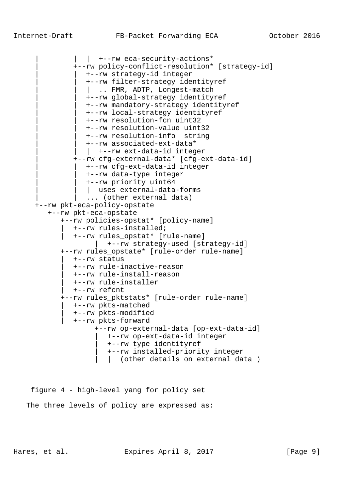```
| | +--rw eca-security-actions*
          | +--rw policy-conflict-resolution* [strategy-id]
            | | +--rw strategy-id integer
             | | +--rw filter-strategy identityref
            | .. FMR, ADTP, Longest-match
             | | +--rw global-strategy identityref
             | | +--rw mandatory-strategy identityref
             | | +--rw local-strategy identityref
             | | +--rw resolution-fcn uint32
             | | +--rw resolution-value uint32
             | | +--rw resolution-info string
             | | +--rw associated-ext-data*
            | +--rw ext-data-id integer
          | +--rw cfg-external-data* [cfg-ext-data-id]
             | | +--rw cfg-ext-data-id integer
             | | +--rw data-type integer
             | | +--rw priority uint64
            | uses external-data-forms
            ... (other external data)
 +--rw pkt-eca-policy-opstate
    +--rw pkt-eca-opstate
       +--rw policies-opstat* [policy-name]
         | +--rw rules-installed;
          | +--rw rules_opstat* [rule-name]
               | +--rw strategy-used [strategy-id]
       +--rw rules_opstate* [rule-order rule-name]
          | +--rw status
          | +--rw rule-inactive-reason
          | +--rw rule-install-reason
          | +--rw rule-installer
          | +--rw refcnt
       +--rw rules_pktstats* [rule-order rule-name]
          | +--rw pkts-matched
          | +--rw pkts-modified
          | +--rw pkts-forward
                +--rw op-external-data [op-ext-data-id]
                   | +--rw op-ext-data-id integer
                  | +--rw type identityref
                  | +--rw installed-priority integer
                 | (other details on external data )
```
 figure 4 - high-level yang for policy set The three levels of policy are expressed as:

Hares, et al. Expires April 8, 2017 [Page 9]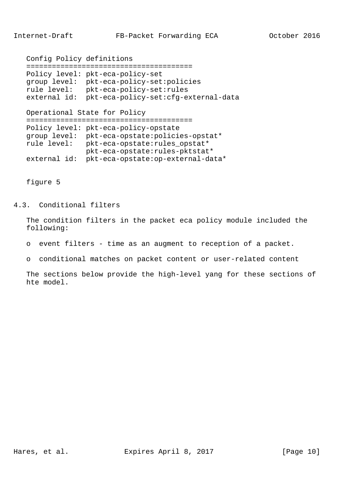```
 Config Policy definitions
 =======================================
 Policy level: pkt-eca-policy-set
 group level: pkt-eca-policy-set:policies
 rule level: pkt-eca-policy-set:rules
 external id: pkt-eca-policy-set:cfg-external-data
 Operational State for Policy
 =======================================
 Policy level: pkt-eca-policy-opstate
 group level: pkt-eca-opstate:policies-opstat*
 rule level: pkt-eca-opstate:rules_opstat*
              pkt-eca-opstate:rules-pktstat*
 external id: pkt-eca-opstate:op-external-data*
```
figure 5

4.3. Conditional filters

 The condition filters in the packet eca policy module included the following:

- o event filters time as an augment to reception of a packet.
- o conditional matches on packet content or user-related content

 The sections below provide the high-level yang for these sections of hte model.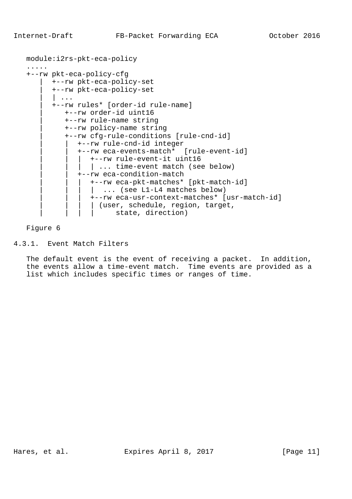```
 module:i2rs-pkt-eca-policy
 .....
 +--rw pkt-eca-policy-cfg
       | +--rw pkt-eca-policy-set
        | +--rw pkt-eca-policy-set
       | \cdot \cdot \cdot \cdot | +--rw rules* [order-id rule-name]
           | +--rw order-id uint16
           | +--rw rule-name string
           | +--rw policy-name string
           | +--rw cfg-rule-conditions [rule-cnd-id]
              | | +--rw rule-cnd-id integer
              | | +--rw eca-events-match* [rule-event-id]
                 | | | +--rw rule-event-it uint16
                | ... time-event match (see below)
              | | +--rw eca-condition-match
                 | | | +--rw eca-pkt-matches* [pkt-match-id]
                | ... (see L1-L4 matches below)
                  | | | +--rw eca-usr-context-matches* [usr-match-id]
                 | (user, schedule, region, target,
                      state, direction)
```
# 4.3.1. Event Match Filters

 The default event is the event of receiving a packet. In addition, the events allow a time-event match. Time events are provided as a list which includes specific times or ranges of time.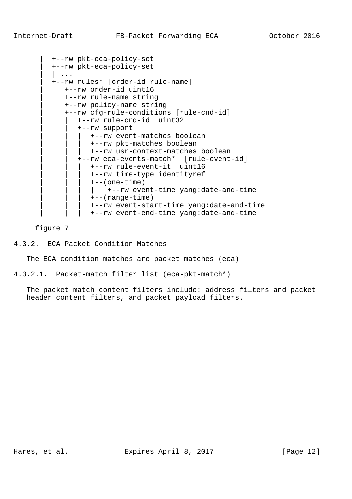```
 | +--rw pkt-eca-policy-set
 | +--rw pkt-eca-policy-set
\vert \cdot \vert \cdot \vert | +--rw rules* [order-id rule-name]
    | +--rw order-id uint16
    | +--rw rule-name string
    | +--rw policy-name string
    | +--rw cfg-rule-conditions [rule-cnd-id]
        | | +--rw rule-cnd-id uint32
        | | +--rw support
           | | | +--rw event-matches boolean
           | | | +--rw pkt-matches boolean
          | | | +--rw usr-context-matches boolean
        | | +--rw eca-events-match* [rule-event-id]
           | | | +--rw rule-event-it uint16
           | | | +--rw time-type identityref
          +--(one-time) | | | | +--rw event-time yang:date-and-time
          +--(range-time) | | | +--rw event-start-time yang:date-and-time
           | | | +--rw event-end-time yang:date-and-time
```
figure 7

4.3.2. ECA Packet Condition Matches

The ECA condition matches are packet matches (eca)

4.3.2.1. Packet-match filter list (eca-pkt-match\*)

 The packet match content filters include: address filters and packet header content filters, and packet payload filters.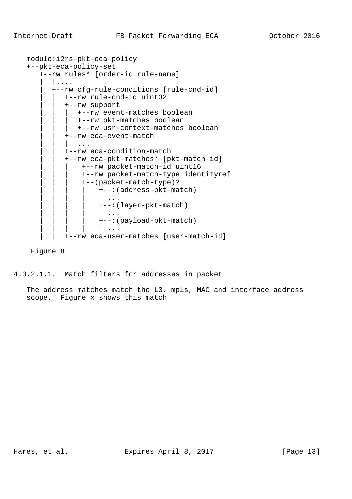```
 module:i2rs-pkt-eca-policy
 +--pkt-eca-policy-set
     +--rw rules* [order-id rule-name]
         | |....
        | +--rw cfg-rule-conditions [rule-cnd-id]
            | | +--rw rule-cnd-id uint32
            | | +--rw support
                | | | +--rw event-matches boolean
               +--rw pkt-matches boolean
                | | | +--rw usr-context-matches boolean
            | | +--rw eca-event-match
               | \cdot | \cdot | | | +--rw eca-condition-match
            | | +--rw eca-pkt-matches* [pkt-match-id]
                 | | | +--rw packet-match-id uint16
                 | | | +--rw packet-match-type identityref
                 | | | +--(packet-match-type)?
                      | | | | +--:(address-pkt-match)
                      \parallel \cdot \cdot \cdot | | | | +--:(layer-pkt-match)
                       | | | | | ...
                      | | | | +--:(payload-pkt-match)
                      | | | | | ...
            | | +--rw eca-user-matches [user-match-id]
```
4.3.2.1.1. Match filters for addresses in packet

 The address matches match the L3, mpls, MAC and interface address scope. Figure x shows this match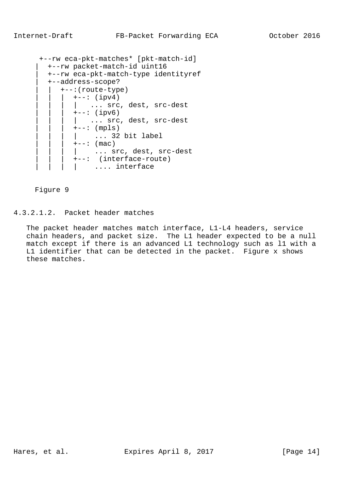```
 +--rw eca-pkt-matches* [pkt-match-id]
  | +--rw packet-match-id uint16
  | +--rw eca-pkt-match-type identityref
  | +--address-scope?
     | | +--:(route-type)
     | +--: (ipv4)
       | ... src, dest, src-dest
       +--: (ipv6)
       | ... src, dest, src-dest
      +--: (mpls)
         | | | | ... 32 bit label
       +--: (mac)
        | ... src, dest, src-dest
        +--: (interface-route)
        | .... interface
```
4.3.2.1.2. Packet header matches

 The packet header matches match interface, L1-L4 headers, service chain headers, and packet size. The L1 header expected to be a null match except if there is an advanced L1 technology such as l1 with a L1 identifier that can be detected in the packet. Figure x shows these matches.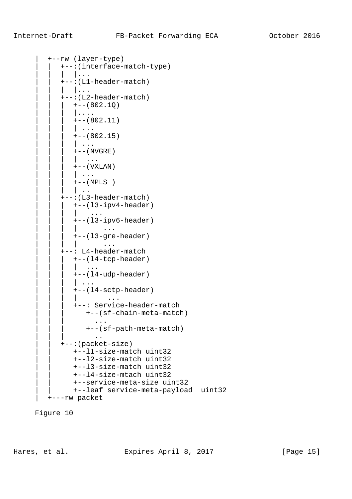```
 | +--rw (layer-type)
              | | +--:(interface-match-type)
               | | | |...
              | | +--:(L1-header-match)
               | | | |...
              | | +--:(L2-header-match)
              | +--(802.1Q)
                  | | | |....
                 +--(802.11) | | | | ...
                 +--(802.15)| \cdot | ...
                 +--(NVGRE)
                     \cdot \cdot \cdot+--(VXLAN)
                  | | | | ...
                 +--(MPLS)| \cdot |.
              | | +--:(L3-header-match)
                 | | | +--(l3-ipv4-header)
                  | | | | ...
                 +--(13-ipv6-header) | | | | ...
                  | | | +--(l3-gre-header)
                 | | | | ...
             +--: L4-header-match
                +--(14-tcp-header)
                  | | | | ...
                  | | | +--(l4-udp-header)
                  | \cdot \cdot \cdot \cdot | | | | +--(l4-sctp-header)
                  | | | | ...
                  | | | +--: Service-header-match
                      | | | +--(sf-chain-meta-match)
                         | | | ...
                      | | | +--(sf-path-meta-match)
 | | | ..
              | | +--:(packet-size)
                  | | +--l1-size-match uint32
                  | | +--l2-size-match uint32
                  | | +--l3-size-match uint32
                  | | +--l4-size-mtach uint32
                  | | +--service-meta-size uint32
                  | | +--leaf service-meta-payload uint32
           | +---rw packet
```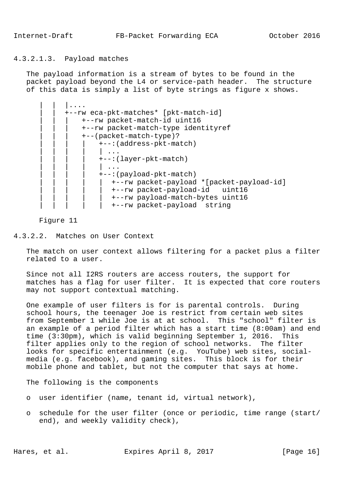# 4.3.2.1.3. Payload matches

 The payload information is a stream of bytes to be found in the packet payload beyond the L4 or service-path header. The structure of this data is simply a list of byte strings as figure x shows.

| +--rw eca-pkt-matches* [pkt-match-id]     |
|-------------------------------------------|
| +--rw packet-match-id uint16              |
| +--rw packet-match-type identityref       |
| +--(packet-match-type)?                   |
| +--: (address-pkt-match)                  |
|                                           |
| +--: (layer-pkt-match)                    |
|                                           |
| +--: (payload-pkt-match)                  |
| +--rw packet-payload *[packet-payload-id] |
| +--rw packet-payload-id uint16            |
| +--rw payload-match-bytes uint16          |
| +--rw packet-payload string               |

### Figure 11

4.3.2.2. Matches on User Context

 The match on user context allows filtering for a packet plus a filter related to a user.

 Since not all I2RS routers are access routers, the support for matches has a flag for user filter. It is expected that core routers may not support contextual matching.

 One example of user filters is for is parental controls. During school hours, the teenager Joe is restrict from certain web sites from September 1 while Joe is at at school. This "school" filter is an example of a period filter which has a start time (8:00am) and end time (3:30pm), which is valid beginning September 1, 2016. This filter applies only to the region of school networks. The filter looks for specific entertainment (e.g. YouTube) web sites, social media (e.g. facebook), and gaming sites. This block is for their mobile phone and tablet, but not the computer that says at home.

The following is the components

- o user identifier (name, tenant id, virtual network),
- o schedule for the user filter (once or periodic, time range (start/ end), and weekly validity check),

Hares, et al. Expires April 8, 2017 [Page 16]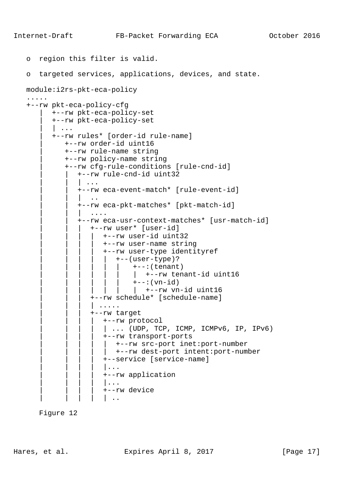```
 o region this filter is valid.
 o targeted services, applications, devices, and state.
 module:i2rs-pkt-eca-policy
 .....
 +--rw pkt-eca-policy-cfg
        | +--rw pkt-eca-policy-set
        | +--rw pkt-eca-policy-set
        | | ...
        | +--rw rules* [order-id rule-name]
            | +--rw order-id uint16
            | +--rw rule-name string
            | +--rw policy-name string
            | +--rw cfg-rule-conditions [rule-cnd-id]
               | | +--rw rule-cnd-id uint32
                 | | | ...
               | | +--rw eca-event-match* [rule-event-id]
               \| \cdot \|.
               | | +--rw eca-pkt-matches* [pkt-match-id]
                   | | | ....
               | | +--rw eca-usr-context-matches* [usr-match-id]
                  | | | +--rw user* [user-id]
                      | | | | +--rw user-id uint32
                      | | | | +--rw user-name string
                      | | | | +--rw user-type identityref
                      | +--(user-type)?
                              +--:(tenant)
                              | +--rw tenant-id uint16
                              ---:(\text{vn}-id)| +--rw vn-id uint16
                   | | | +--rw schedule* [schedule-name]
                   | | | | .....
                   | | | +--rw target
                      | | | | +--rw protocol
                      | ... (UDP, TCP, ICMP, ICMPv6, IP, IPv6) | | | | +--rw transport-ports
                      | +-rw src-port inet: port-number
                         | | | | | +--rw dest-port intent:port-number
                       | | | | +--service [service-name]
                      | \ldots | | | | +--rw application
                      | \ldots | | | | | +--rw device
                      | \cdot |.
```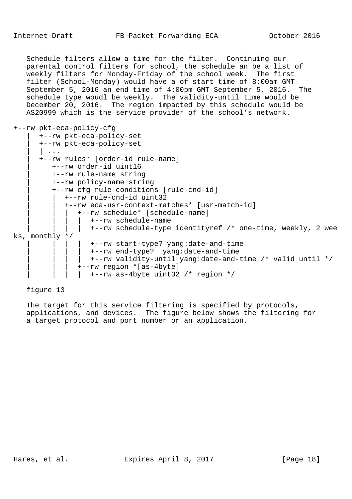Schedule filters allow a time for the filter. Continuing our parental control filters for school, the schedule an be a list of weekly filters for Monday-Friday of the school week. The first filter (School-Monday) would have a of start time of 8:00am GMT September 5, 2016 an end time of 4:00pm GMT September 5, 2016. The schedule type woudl be weekly. The validity-until time would be December 20, 2016. The region impacted by this schedule would be AS20999 which is the service provider of the school's network.

# +--rw pkt-eca-policy-cfg

| +--rw pkt-eca-policy-set                                   |
|------------------------------------------------------------|
| +--rw pkt-eca-policy-set                                   |
|                                                            |
| +--rw rules* [order-id rule-name]                          |
| +--rw order-id uint16                                      |
| +--rw rule-name string                                     |
| +--rw policy-name string                                   |
| +--rw cfg-rule-conditions [rule-cnd-id]                    |
| +--rw rule-cnd-id uint32                                   |
|                                                            |
| +--rw eca-usr-context-matches* [usr-match-id]              |
| +--rw schedule* [schedule-name]                            |
| +--rw schedule-name                                        |
| +--rw schedule-type identityref /* one-time, weekly, 2 wee |
| ks, monthly $*/$                                           |
| +--rw start-type? yang:date-and-time                       |
| +--rw end-type? yang:date-and-time                         |
| +--rw validity-until yang:date-and-time /* valid until */  |
| +--rw region *[as-4byte]                                   |
|                                                            |
| $+--rw$ as-4byte uint32 /* region */                       |

## figure 13

 The target for this service filtering is specified by protocols, applications, and devices. The figure below shows the filtering for a target protocol and port number or an application.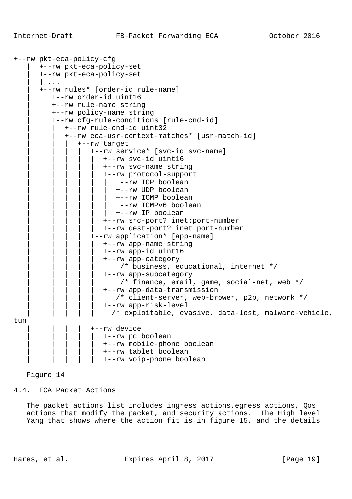```
+--rw pkt-eca-policy-cfg
         | +--rw pkt-eca-policy-set
         | +--rw pkt-eca-policy-set
        \vert ...
         | +--rw rules* [order-id rule-name]
            | +--rw order-id uint16
            | +--rw rule-name string
            | +--rw policy-name string
            | +--rw cfg-rule-conditions [rule-cnd-id]
                | | +--rw rule-cnd-id uint32
                | | +--rw eca-usr-context-matches* [usr-match-id]
                     | | | +--rw target
                        | | | | +--rw service* [svc-id svc-name]
                            | | | | | +--rw svc-id uint16
                            | | | | | +--rw svc-name string
                            | | | | | +--rw protocol-support
                                | | | | | | +--rw TCP boolean
                                | | | | | | +--rw UDP boolean
                                | | | | | | +--rw ICMP boolean
                                | | | | | | +--rw ICMPv6 boolean
                                | | | | | | +--rw IP boolean
                            | | | | | +--rw src-port? inet:port-number
                            | | | | | +--rw dest-port? inet_port-number
                         | | | | +--rw application* [app-name]
                            | | | | | +--rw app-name string
                            | | | | | +--rw app-id uint16
                            | | | | | +--rw app-category
                                \prime* business, educational, internet */
                            | | | | | +--rw app-subcategory
                                 /* finance, email, game, social-net, web */ | | | | | +--rw app-data-transmission
                               /* client-server, web-brower, p2p, network */
                            | | | | | +--rw app-risk-level
                              /* exploitable, evasive, data-lost, malware-vehicle,
tun
                         | | | | +--rw device
                            | | | | | +--rw pc boolean
                            | | | | | +--rw mobile-phone boolean
                            | | | | | +--rw tablet boolean
                            | | | | | +--rw voip-phone boolean
```
4.4. ECA Packet Actions

The packet actions list includes ingress actions, egress actions, Qos actions that modify the packet, and security actions. The High level Yang that shows where the action fit is in figure 15, and the details

Hares, et al. Expires April 8, 2017 [Page 19]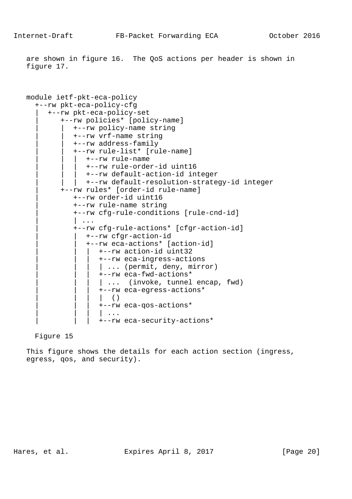are shown in figure 16. The QoS actions per header is shown in figure 17.

```
 module ietf-pkt-eca-policy
   +--rw pkt-eca-policy-cfg
      | +--rw pkt-eca-policy-set
          | +--rw policies* [policy-name]
              | | +--rw policy-name string
              | | +--rw vrf-name string
              | | +--rw address-family
              | | +--rw rule-list* [rule-name]
                 | | | +--rw rule-name
                 | | | +--rw rule-order-id uint16
                 | | | +--rw default-action-id integer
                | | | +--rw default-resolution-strategy-id integer
          | +--rw rules* [order-id rule-name]
              | +--rw order-id uint16
              | +--rw rule-name string
              | +--rw cfg-rule-conditions [rule-cnd-id]
              | | ...
              | +--rw cfg-rule-actions* [cfgr-action-id]
                 | | +--rw cfgr-action-id
                 | | +--rw eca-actions* [action-id]
                    | | | +--rw action-id uint32
                     | | | +--rw eca-ingress-actions
                   | ... (permit, deny, mirror)
                    | | | +--rw eca-fwd-actions*
                   | ... (invoke, tunnel encap, fwd)
                    | | | +--rw eca-egress-actions*
                    | ( ) | | | +--rw eca-qos-actions*
                     | | | | ...
                     | | | +--rw eca-security-actions*
```
Figure 15

 This figure shows the details for each action section (ingress, egress, qos, and security).

Hares, et al. Expires April 8, 2017 [Page 20]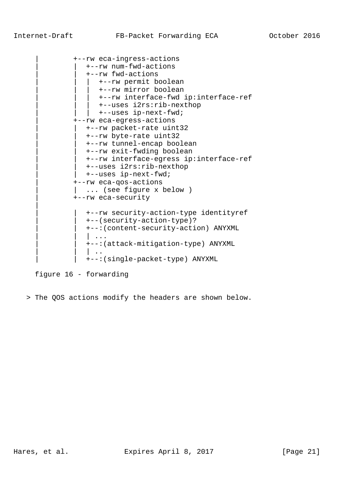|

```
 | +--rw eca-ingress-actions
   | | +--rw num-fwd-actions
    | | +--rw fwd-actions
      | | | +--rw permit boolean
       | | | +--rw mirror boolean
       | | | +--rw interface-fwd ip:interface-ref
       | | | +--uses i2rs:rib-nexthop
   | +--uses ip-next-fwd;
 | +--rw eca-egress-actions
   | | +--rw packet-rate uint32
    | | +--rw byte-rate uint32
   | | +--rw tunnel-encap boolean
   | | +--rw exit-fwding boolean
    | | +--rw interface-egress ip:interface-ref
    | | +--uses i2rs:rib-nexthop
    | | +--uses ip-next-fwd;
 | +--rw eca-qos-actions
  ... (see figure x below )
 | +--rw eca-security
    | | +--rw security-action-type identityref
    | | +--(security-action-type)?
    | | +--:(content-security-action) ANYXML
   | \cdot \cdot \cdot | | | +--:(attack-mitigation-type) ANYXML
   | \cdot |.
    | | +--:(single-packet-type) ANYXML
```
figure 16 - forwarding

> The QOS actions modify the headers are shown below.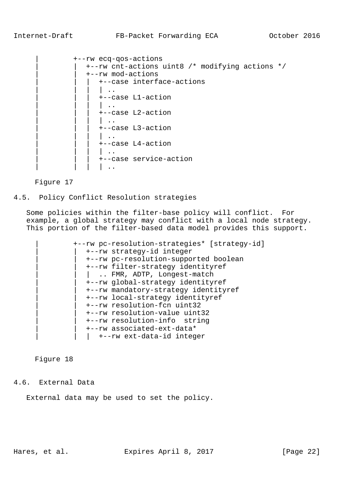## Internet-Draft FB-Packet Forwarding ECA 0ctober 2016

```
 | +--rw ecq-qos-actions
     | | +--rw cnt-actions uint8 /* modifying actions */
     | | +--rw mod-actions
        | | | +--case interface-actions
        | \cdot | ...
         | | | +--case L1-action
        \| \cdot \cdot \cdot \| | | | +--case L2-action
         | \cdot |.
         | | | +--case L3-action
         | \cdot |.
         | | | +--case L4-action
        | \cdot |.
         | | | +--case service-action
        | \cdot |.
```
Figure 17

# 4.5. Policy Conflict Resolution strategies

 Some policies within the filter-base policy will conflict. For example, a global strategy may conflict with a local node strategy. This portion of the filter-based data model provides this support.

 | +--rw pc-resolution-strategies\* [strategy-id] | | +--rw strategy-id integer | | +--rw pc-resolution-supported boolean | | +--rw filter-strategy identityref | .. FMR, ADTP, Longest-match | | +--rw global-strategy identityref | | +--rw mandatory-strategy identityref | | +--rw local-strategy identityref | | +--rw resolution-fcn uint32 | | +--rw resolution-value uint32 | | +--rw resolution-info string | | +--rw associated-ext-data\* | +--rw ext-data-id integer

Figure 18

## 4.6. External Data

External data may be used to set the policy.

Hares, et al. Expires April 8, 2017 [Page 22]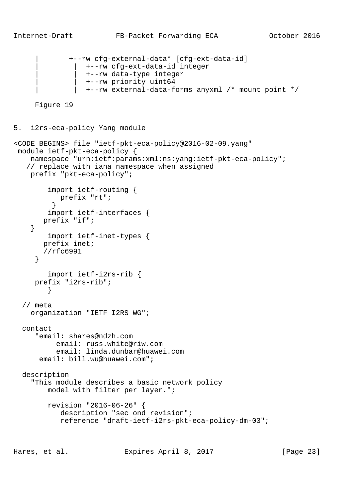```
 | +--rw cfg-external-data* [cfg-ext-data-id]
     | | +--rw cfg-ext-data-id integer
     | | +--rw data-type integer
     | | +--rw priority uint64
     | | +--rw external-data-forms anyxml /* mount point */
```

```
5. i2rs-eca-policy Yang module
```

```
<CODE BEGINS> file "ietf-pkt-eca-policy@2016-02-09.yang"
 module ietf-pkt-eca-policy {
    namespace "urn:ietf:params:xml:ns:yang:ietf-pkt-eca-policy";
    // replace with iana namespace when assigned
    prefix "pkt-eca-policy";
         import ietf-routing {
           prefix "rt";
 }
         import ietf-interfaces {
       prefix "if";
     }
        import ietf-inet-types {
       prefix inet;
       //rfc6991
      }
         import ietf-i2rs-rib {
      prefix "i2rs-rib";
 }
   // meta
    organization "IETF I2RS WG";
  contact
      "email: shares@ndzh.com
           email: russ.white@riw.com
           email: linda.dunbar@huawei.com
       email: bill.wu@huawei.com";
  description
     "This module describes a basic network policy
         model with filter per layer.";
         revision "2016-06-26" {
            description "sec ond revision";
            reference "draft-ietf-i2rs-pkt-eca-policy-dm-03";
```
Hares, et al. Expires April 8, 2017 [Page 23]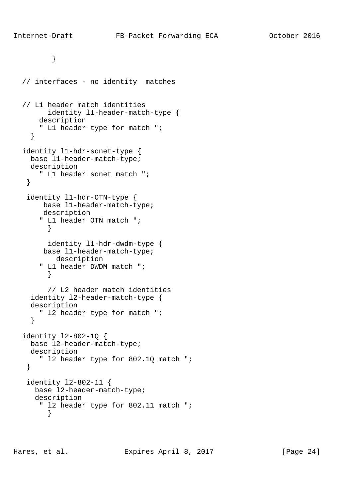```
 }
   // interfaces - no identity matches
   // L1 header match identities
         identity l1-header-match-type {
       description
       " L1 header type for match ";
     }
  identity l1-hdr-sonet-type {
    base l1-header-match-type;
    description
      " L1 header sonet match ";
    }
    identity l1-hdr-OTN-type {
       base l1-header-match-type;
       description
       " L1 header OTN match ";
         }
         identity l1-hdr-dwdm-type {
       base l1-header-match-type;
          description
       " L1 header DWDM match ";
         }
         // L2 header match identities
     identity l2-header-match-type {
     description
      " l2 header type for match ";
     }
  identity l2-802-1Q {
    base l2-header-match-type;
    description
       " l2 header type for 802.1Q match ";
    }
    identity l2-802-11 {
     base l2-header-match-type;
      description
       " l2 header type for 802.11 match ";
         }
```
Hares, et al. Expires April 8, 2017 [Page 24]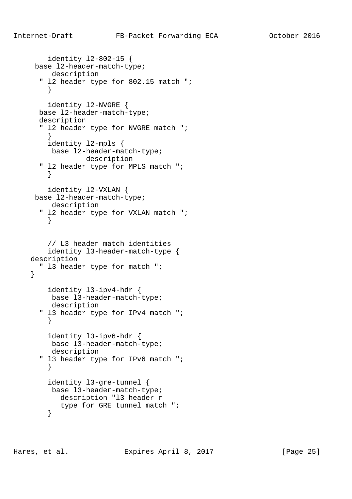```
 identity l2-802-15 {
     base l2-header-match-type;
         description
       " l2 header type for 802.15 match ";
 }
         identity l2-NVGRE {
      base l2-header-match-type;
      description
       " l2 header type for NVGRE match ";
 }
        identity l2-mpls {
         base l2-header-match-type;
                  description
       " l2 header type for MPLS match ";
         }
         identity l2-VXLAN {
     base l2-header-match-type;
         description
       " l2 header type for VXLAN match ";
 }
         // L3 header match identities
         identity l3-header-match-type {
    description
      " l3 header type for match ";
     }
        identity l3-ipv4-hdr {
         base l3-header-match-type;
         description
       " l3 header type for IPv4 match ";
         }
         identity l3-ipv6-hdr {
         base l3-header-match-type;
         description
       " l3 header type for IPv6 match ";
 }
         identity l3-gre-tunnel {
         base l3-header-match-type;
           description "l3 header r
           type for GRE tunnel match ";
         }
```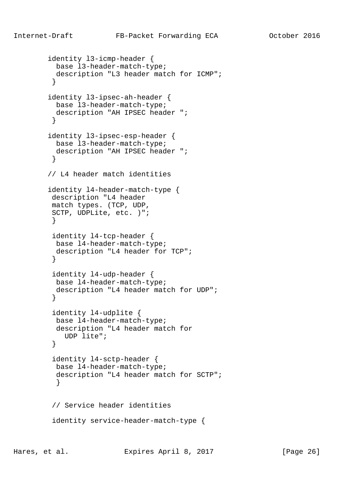```
 identity l3-icmp-header {
          base l3-header-match-type;
          description "L3 header match for ICMP";
 }
        identity l3-ipsec-ah-header {
          base l3-header-match-type;
          description "AH IPSEC header ";
 }
        identity l3-ipsec-esp-header {
          base l3-header-match-type;
          description "AH IPSEC header ";
         }
        // L4 header match identities
        identity l4-header-match-type {
         description "L4 header
         match types. (TCP, UDP,
         SCTP, UDPLite, etc. )";
 }
         identity l4-tcp-header {
          base l4-header-match-type;
          description "L4 header for TCP";
 }
         identity l4-udp-header {
          base l4-header-match-type;
          description "L4 header match for UDP";
 }
         identity l4-udplite {
          base l4-header-match-type;
          description "L4 header match for
            UDP lite";
 }
         identity l4-sctp-header {
          base l4-header-match-type;
          description "L4 header match for SCTP";
 }
         // Service header identities
         identity service-header-match-type {
```
Hares, et al. Expires April 8, 2017 [Page 26]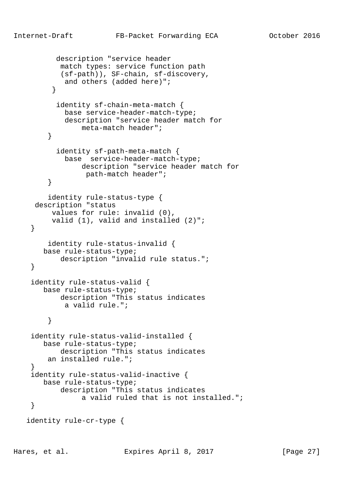```
 description "service header
            match types: service function path
            (sf-path)), SF-chain, sf-discovery,
            and others (added here)";
 }
           identity sf-chain-meta-match {
             base service-header-match-type;
             description "service header match for
                 meta-match header";
         }
           identity sf-path-meta-match {
             base service-header-match-type;
                description "service header match for
                  path-match header";
         }
         identity rule-status-type {
     description "status
          values for rule: invalid (0),
          valid (1), valid and installed (2)";
     }
         identity rule-status-invalid {
       base rule-status-type;
            description "invalid rule status.";
     }
     identity rule-status-valid {
        base rule-status-type;
           description "This status indicates
             a valid rule.";
         }
     identity rule-status-valid-installed {
        base rule-status-type;
            description "This status indicates
         an installed rule.";
 }
     identity rule-status-valid-inactive {
       base rule-status-type;
            description "This status indicates
                 a valid ruled that is not installed.";
     }
   identity rule-cr-type {
```
Hares, et al. Expires April 8, 2017 [Page 27]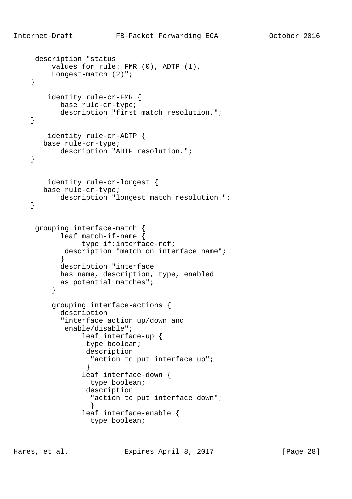```
 description "status
         values for rule: FMR (0), ADTP (1),
         Longest-match (2)";
     }
        identity rule-cr-FMR {
           base rule-cr-type;
           description "first match resolution.";
     }
        identity rule-cr-ADTP {
       base rule-cr-type;
           description "ADTP resolution.";
    }
        identity rule-cr-longest {
       base rule-cr-type;
           description "longest match resolution.";
    }
     grouping interface-match {
           leaf match-if-name {
                type if:interface-ref;
           description "match on interface name";
 }
           description "interface
           has name, description, type, enabled
           as potential matches";
 }
         grouping interface-actions {
           description
            "interface action up/down and
            enable/disable";
                leaf interface-up {
                 type boolean;
                 description
                   "action to put interface up";
 }
                 leaf interface-down {
                   type boolean;
                 description
                  "action to put interface down";
 }
                 leaf interface-enable {
                   type boolean;
```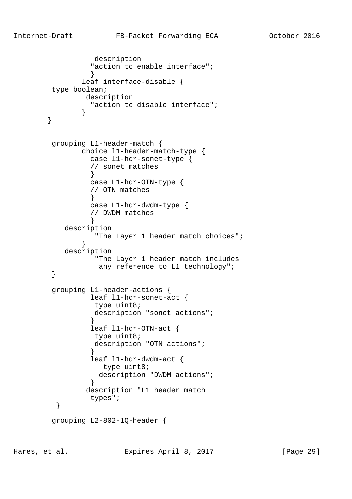```
 description
                "action to enable interface";
 }
              leaf interface-disable {
        type boolean;
               description
                "action to disable interface";
 }
       }
        grouping L1-header-match {
              choice l1-header-match-type {
                case l1-hdr-sonet-type {
                // sonet matches
 }
                case L1-hdr-OTN-type {
                // OTN matches
 }
                case L1-hdr-dwdm-type {
                // DWDM matches
 }
           description
                 "The Layer 1 header match choices";
 }
           description
                 "The Layer 1 header match includes
                 any reference to L1 technology";
 }
        grouping L1-header-actions {
                leaf l1-hdr-sonet-act {
                 type uint8;
                 description "sonet actions";
 }
                leaf l1-hdr-OTN-act {
                 type uint8;
                 description "OTN actions";
 }
                leaf l1-hdr-dwdm-act {
                  type uint8;
                 description "DWDM actions";
 }
               description "L1 header match
         types";
 }
        grouping L2-802-1Q-header {
```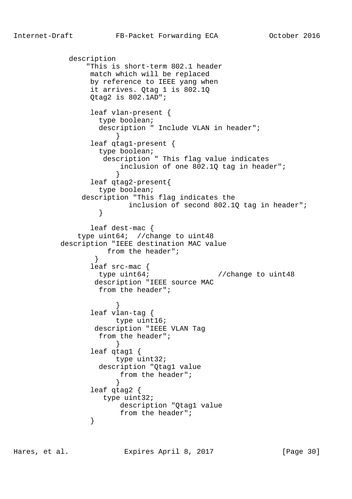description "This is short-term 802.1 header match which will be replaced by reference to IEEE yang when it arrives. Qtag 1 is 802.1Q Qtag2 is 802.1AD"; leaf vlan-present { type boolean; description " Include VLAN in header"; } leaf qtag1-present { type boolean; description " This flag value indicates inclusion of one 802.1Q tag in header"; } leaf qtag2-present{ type boolean; description "This flag indicates the inclusion of second 802.1Q tag in header";<br>} } leaf dest-mac { type uint64; //change to uint48 description "IEEE destination MAC value from the header";<br>} } leaf src-mac { type uint64;  $\frac{1}{2}$  //change to uint48 description "IEEE source MAC from the header"; } leaf vlan-tag { type uint16; description "IEEE VLAN Tag from the header"; } leaf qtag1 { type uint32; description "Qtag1 value from the header"; } leaf qtag2 { type uint32; description "Qtag1 value from the header";<br>} }

Hares, et al. Expires April 8, 2017 [Page 30]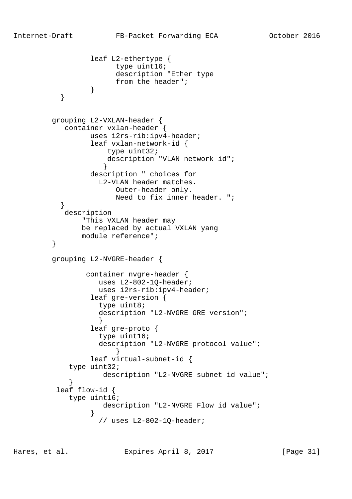```
 leaf L2-ethertype {
                      type uint16;
                      description "Ether type
                from the header";<br>}
 }
 }
         grouping L2-VXLAN-header {
           container vxlan-header {
                 uses i2rs-rib:ipv4-header;
                 leaf vxlan-network-id {
                    type uint32;
                    description "VLAN network id";
 }
                 description " choices for
                   L2-VLAN header matches.
                      Outer-header only.
                      Need to fix inner header. ";
 }
           description
               "This VXLAN header may
               be replaced by actual VXLAN yang
        module reference";<br>}
 }
         grouping L2-NVGRE-header {
                container nvgre-header {
                  uses L2-802-1Q-header;
                  uses i2rs-rib:ipv4-header;
                 leaf gre-version {
                   type uint8;
                   description "L2-NVGRE GRE version";
 }
                 leaf gre-proto {
                  type uint16;
                   description "L2-NVGRE protocol value";
 }
                 leaf virtual-subnet-id {
            type uint32;
                   description "L2-NVGRE subnet id value";
 }
          leaf flow-id {
            type uint16;
                   description "L2-NVGRE Flow id value";
 }
                  // uses L2-802-1Q-header;
```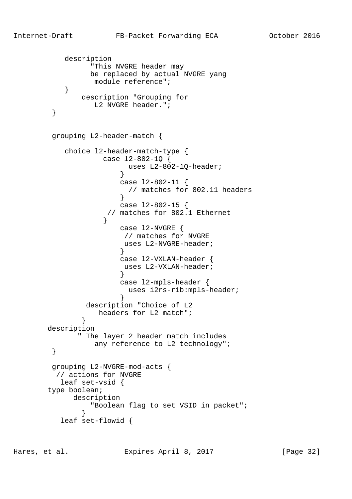```
 description
                "This NVGRE header may
                be replaced by actual NVGRE yang
                module reference";
 }
             description "Grouping for
               L2 NVGRE header.";
        }
        grouping L2-header-match {
           choice l2-header-match-type {
                  case l2-802-1Q {
                       uses L2-802-1Q-header;
 }
                      case l2-802-11 {
                      // matches for 802.11 headers
 }
                      case l2-802-15 {
                   // matches for 802.1 Ethernet
 }
                      case l2-NVGRE {
                      // matches for NVGRE
                      uses L2-NVGRE-header;
 }
                      case l2-VXLAN-header {
                      uses L2-VXLAN-header;
 }
                      case l2-mpls-header {
                       uses i2rs-rib:mpls-header;
 }
               description "Choice of L2
                 headers for L2 match";
 }
       description
             " The layer 2 header match includes
               any reference to L2 technology";
 }
        grouping L2-NVGRE-mod-acts {
         // actions for NVGRE
          leaf set-vsid {
       type boolean;
            description
                "Boolean flag to set VSID in packet";
 }
          leaf set-flowid {
```
Hares, et al. Expires April 8, 2017 [Page 32]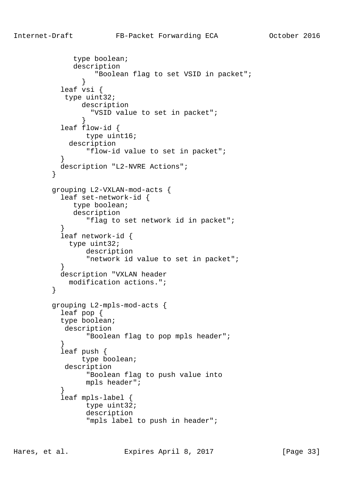```
 type boolean;
              description
                   "Boolean flag to set VSID in packet";
 }
           leaf vsi {
            type uint32;
                description
                  "VSID value to set in packet";
 }
           leaf flow-id {
                 type uint16;
             description
                 "flow-id value to set in packet";
 }
           description "L2-NVRE Actions";
 }
         grouping L2-VXLAN-mod-acts {
           leaf set-network-id {
              type boolean;
              description
                 "flag to set network id in packet";
 }
           leaf network-id {
            type uint32;
                 description
                 "network id value to set in packet";
 }
           description "VXLAN header
             modification actions.";
 }
         grouping L2-mpls-mod-acts {
           leaf pop {
           type boolean;
            description
                 "Boolean flag to pop mpls header";
 }
           leaf push {
                type boolean;
            description
                 "Boolean flag to push value into
                 mpls header";
 }
           leaf mpls-label {
                 type uint32;
                 description
                 "mpls label to push in header";
```
Hares, et al. Expires April 8, 2017 [Page 33]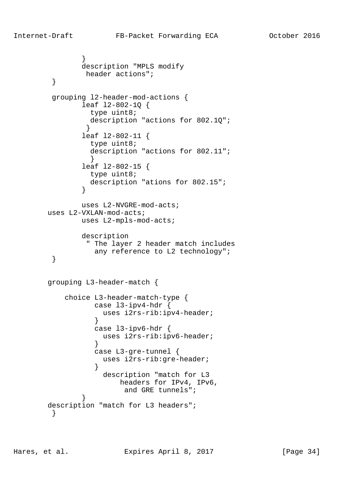```
 }
               description "MPLS modify
               header actions";
 }
        grouping l2-header-mod-actions {
               leaf l2-802-1Q {
                type uint8;
                description "actions for 802.1Q";
 }
               leaf l2-802-11 {
                type uint8;
                description "actions for 802.11";
 }
               leaf l2-802-15 {
                type uint8;
                description "ations for 802.15";
 }
               uses L2-NVGRE-mod-acts;
       uses L2-VXLAN-mod-acts;
              uses L2-mpls-mod-acts;
               description
                " The layer 2 header match includes
                 any reference to L2 technology";
        }
       grouping L3-header-match {
           choice L3-header-match-type {
                 case l3-ipv4-hdr {
                   uses i2rs-rib:ipv4-header;
 }
                 case l3-ipv6-hdr {
                  uses i2rs-rib:ipv6-header;
 }
                 case L3-gre-tunnel {
                   uses i2rs-rib:gre-header;
 }
                   description "match for L3
                       headers for IPv4, IPv6,
                       and GRE tunnels";
 }
       description "match for L3 headers";
 }
```
Hares, et al. Expires April 8, 2017 [Page 34]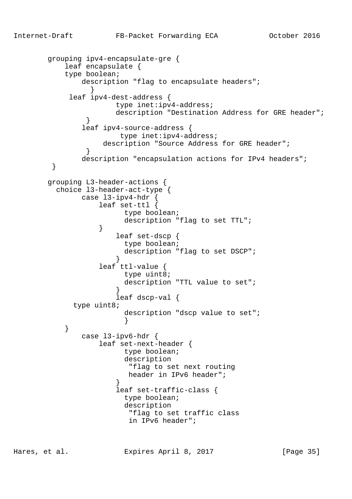```
 grouping ipv4-encapsulate-gre {
           leaf encapsulate {
           type boolean;
             description "flag to encapsulate headers";
 }
            leaf ipv4-dest-address {
                      type inet:ipv4-address;
                      description "Destination Address for GRE header";
 }
               leaf ipv4-source-address {
                       type inet:ipv4-address;
                  description "Source Address for GRE header";
 }
              description "encapsulation actions for IPv4 headers";
 }
       grouping L3-header-actions {
         choice l3-header-act-type {
              case l3-ipv4-hdr {
                  leaf set-ttl {
                       type boolean;
                      description "flag to set TTL";
 }
                      leaf set-dscp {
                       type boolean;
                      description "flag to set DSCP";
 }
                  leaf ttl-value {
                       type uint8;
                        description "TTL value to set";
 }
                      leaf dscp-val {
             type uint8;
                       description "dscp value to set";
 }
 }
              case l3-ipv6-hdr {
                  leaf set-next-header {
                       type boolean;
                       description
                        "flag to set next routing
                        header in IPv6 header";
 }
                      leaf set-traffic-class {
                       type boolean;
                       description
                         "flag to set traffic class
                        in IPv6 header";
```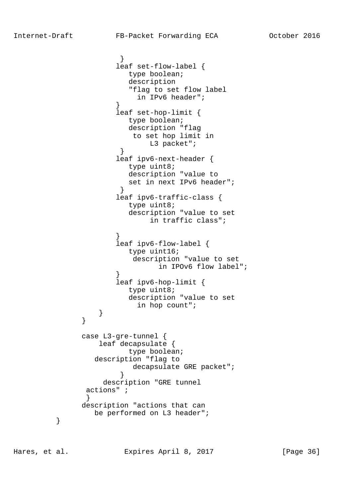```
 }
                    leaf set-flow-label {
                      type boolean;
                       description
                       "flag to set flow label
                        in IPv6 header";
 }
                    leaf set-hop-limit {
                      type boolean;
                      description "flag
                       to set hop limit in
                          L3 packet";
 }
                    leaf ipv6-next-header {
                      type uint8;
                       description "value to
                       set in next IPv6 header";
 }
                    leaf ipv6-traffic-class {
                       type uint8;
                       description "value to set
                          in traffic class";
 }
                    leaf ipv6-flow-label {
                      type uint16;
                       description "value to set
                            in IPOv6 flow label";
 }
                    leaf ipv6-hop-limit {
                      type uint8;
                       description "value to set
                        in hop count";
 }
 }
              case L3-gre-tunnel {
                 leaf decapsulate {
                      type boolean;
                description "flag to
                       decapsulate GRE packet";
 }
                  description "GRE tunnel
              actions" ;
 }
             description "actions that can
                be performed on L3 header";
```
}

Hares, et al. Expires April 8, 2017 [Page 36]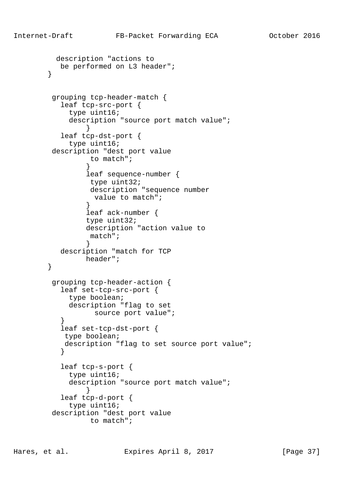```
 description "actions to
           be performed on L3 header";
        }
         grouping tcp-header-match {
           leaf tcp-src-port {
             type uint16;
             description "source port match value";
 }
           leaf tcp-dst-port {
             type uint16;
         description "dest port value
                 to match";
 }
                 leaf sequence-number {
                 type uint32;
                 description "sequence number
                  value to match";
 }
                 leaf ack-number {
                 type uint32;
                 description "action value to
                 match";
 }
           description "match for TCP
                header";
        }
         grouping tcp-header-action {
           leaf set-tcp-src-port {
             type boolean;
             description "flag to set
                 source port value";
 }
           leaf set-tcp-dst-port {
            type boolean;
            description "flag to set source port value";
 }
           leaf tcp-s-port {
             type uint16;
             description "source port match value";
 }
           leaf tcp-d-port {
             type uint16;
         description "dest port value
                 to match";
```
Hares, et al. Expires April 8, 2017 [Page 37]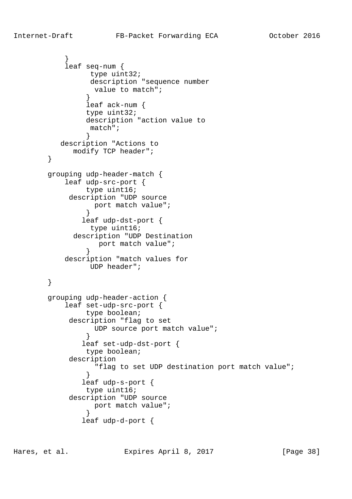```
 }
           leaf seq-num {
                type uint32;
                 description "sequence number
                  value to match";
 }
                leaf ack-num {
                type uint32;
                description "action value to
                 match";
 }
          description "Actions to
             modify TCP header";
        }
        grouping udp-header-match {
           leaf udp-src-port {
                type uint16;
            description "UDP source
                 port match value";
 }
               leaf udp-dst-port {
                 type uint16;
             description "UDP Destination
                  port match value";
 }
           description "match values for
                UDP header";
        }
        grouping udp-header-action {
           leaf set-udp-src-port {
                type boolean;
            description "flag to set
                 UDP source port match value";
 }
               leaf set-udp-dst-port {
                type boolean;
            description
                  "flag to set UDP destination port match value";
 }
               leaf udp-s-port {
                type uint16;
            description "UDP source
                 port match value";
 }
               leaf udp-d-port {
```
Hares, et al. Expires April 8, 2017 [Page 38]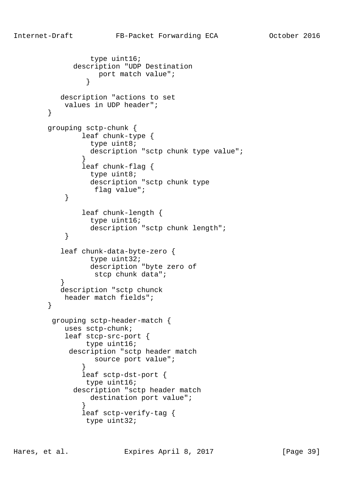```
 type uint16;
              description "UDP Destination
                   port match value";
 }
           description "actions to set
            values in UDP header";
        }
        grouping sctp-chunk {
                leaf chunk-type {
                  type uint8;
                 description "sctp chunk type value";
 }
                leaf chunk-flag {
                 type uint8;
                 description "sctp chunk type
                  flag value";
 }
                leaf chunk-length {
                 type uint16;
                 description "sctp chunk length";
 }
           leaf chunk-data-byte-zero {
                 type uint32;
                 description "byte zero of
                  stcp chunk data";
 }
           description "sctp chunck
            header match fields";
        }
         grouping sctp-header-match {
            uses sctp-chunk;
            leaf stcp-src-port {
                type uint16;
             description "sctp header match
                  source port value";
 }
                leaf sctp-dst-port {
                 type uint16;
              description "sctp header match
                destination port value";
 }
                leaf sctp-verify-tag {
                type uint32;
```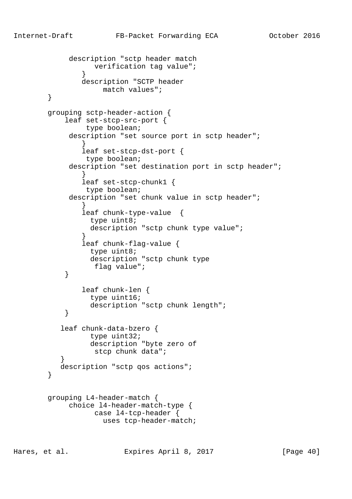```
 description "sctp header match
                  verification tag value";
 }
               description "SCTP header
                    match values";
        }
        grouping sctp-header-action {
            leaf set-stcp-src-port {
                type boolean;
            description "set source port in sctp header";
 }
                leaf set-stcp-dst-port {
                type boolean;
           description "set destination port in sctp header";
 }
                leaf set-stcp-chunk1 {
                type boolean;
            description "set chunk value in sctp header";
 }
                leaf chunk-type-value {
                 type uint8;
                 description "sctp chunk type value";
 }
                leaf chunk-flag-value {
                 type uint8;
                 description "sctp chunk type
                  flag value";
 }
               leaf chunk-len {
                 type uint16;
                 description "sctp chunk length";
 }
           leaf chunk-data-bzero {
                 type uint32;
                 description "byte zero of
                  stcp chunk data";
 }
          description "sctp qos actions";
        }
        grouping L4-header-match {
            choice l4-header-match-type {
                  case l4-tcp-header {
                    uses tcp-header-match;
```
Hares, et al. Expires April 8, 2017 [Page 40]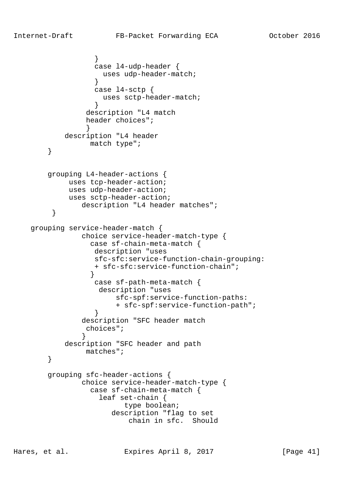```
 }
                  case l4-udp-header {
                  uses udp-header-match;
 }
                  case l4-sctp {
                   uses sctp-header-match;
 }
                description "L4 match
                header choices";
 }
           description "L4 header
                 match type";
        }
        grouping L4-header-actions {
            uses tcp-header-action;
            uses udp-header-action;
            uses sctp-header-action;
        description "L4 header matches";<br>}
 }
    grouping service-header-match {
               choice service-header-match-type {
                 case sf-chain-meta-match {
                  description "uses
                  sfc-sfc:service-function-chain-grouping:
                  + sfc-sfc:service-function-chain";
 }
                  case sf-path-meta-match {
                   description "uses
                      sfc-spf:service-function-paths:
                      + sfc-spf:service-function-path";
 }
               description "SFC header match
                choices";
 }
           description "SFC header and path
                matches";
 }
        grouping sfc-header-actions {
               choice service-header-match-type {
                 case sf-chain-meta-match {
                   leaf set-chain {
                        type boolean;
                      description "flag to set
                         chain in sfc. Should
```
Hares, et al. Expires April 8, 2017 [Page 41]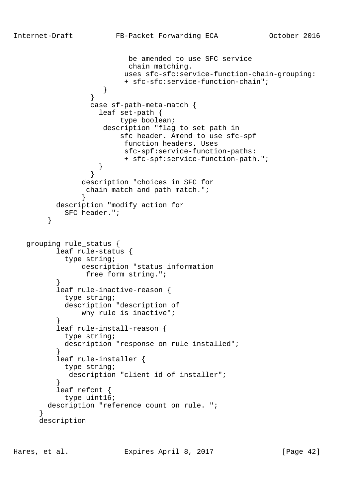```
 be amended to use SFC service
                         chain matching.
                        uses sfc-sfc:service-function-chain-grouping:
                         + sfc-sfc:service-function-chain";
 }
 }
                 case sf-path-meta-match {
                   leaf set-path {
                        type boolean;
                    description "flag to set path in
                        sfc header. Amend to use sfc-spf
                        function headers. Uses
                        sfc-spf:service-function-paths:
                         + sfc-spf:service-function-path.";
 }
 }
               description "choices in SFC for
                chain match and path match.";
 }
         description "modify action for
           SFC header.";
 }
   grouping rule_status {
          leaf rule-status {
            type string;
               description "status information
                free form string.";
 }
          leaf rule-inactive-reason {
           type string;
           description "description of
               why rule is inactive";
 }
          leaf rule-install-reason {
           type string;
           description "response on rule installed";
 }
          leaf rule-installer {
           type string;
            description "client id of installer";
 }
          leaf refcnt {
           type uint16;
        description "reference count on rule. ";
 }
      description
```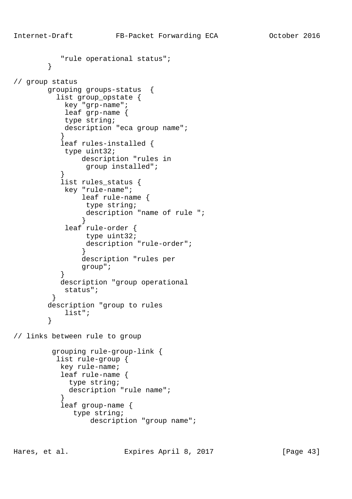```
 "rule operational status";
 }
// group status
        grouping groups-status {
          list group_opstate {
            key "grp-name";
            leaf grp-name {
            type string;
           description "eca group name";
 }
           leaf rules-installed {
            type uint32;
                description "rules in
                 group installed";
 }
           list rules_status {
            key "rule-name";
                leaf rule-name {
                 type string;
                 description "name of rule ";
 }
            leaf rule-order {
                 type uint32;
                 description "rule-order";
 }
                description "rules per
                group";
 }
           description "group operational
            status";
         }
        description "group to rules
            list";
        }
// links between rule to group
         grouping rule-group-link {
          list rule-group {
           key rule-name;
           leaf rule-name {
             type string;
```
description "rule name";

description "group name";

 leaf group-name { type string;

}

Hares, et al. Expires April 8, 2017 [Page 43]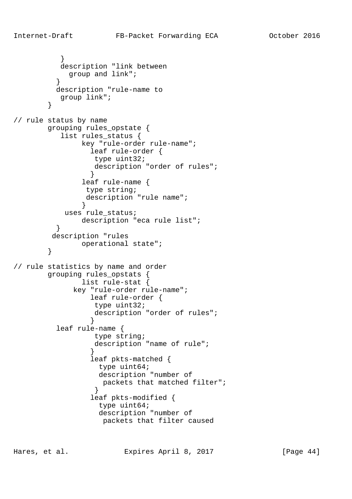```
 }
           description "link between
            group and link";
 }
          description "rule-name to
          group link";
 }
// rule status by name
        grouping rules_opstate {
           list rules_status {
               key "rule-order rule-name";
                 leaf rule-order {
                  type uint32;
                  description "order of rules";
 }
                leaf rule-name {
                type string;
                description "rule name";
 }
            uses rule_status;
               description "eca rule list";
 }
         description "rules
               operational state";
        }
// rule statistics by name and order
        grouping rules_opstats {
                list rule-stat {
             key "rule-order rule-name";
                 leaf rule-order {
                  type uint32;
                  description "order of rules";
 }
          leaf rule-name {
                  type string;
                  description "name of rule";
 }
                 leaf pkts-matched {
                   type uint64;
                   description "number of
                    packets that matched filter";
 }
                 leaf pkts-modified {
                   type uint64;
                   description "number of
                    packets that filter caused
```
Hares, et al. Expires April 8, 2017 [Page 44]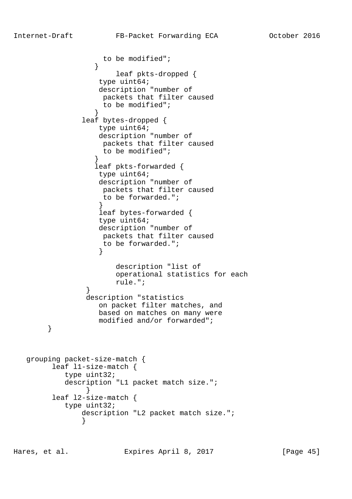```
 to be modified";
 }
                      leaf pkts-dropped {
                   type uint64;
                   description "number of
                   packets that filter caused
                   to be modified";
 }
               leaf bytes-dropped {
                  type uint64;
                  description "number of
                   packets that filter caused
                   to be modified";
 }
                  leaf pkts-forwarded {
                   type uint64;
                   description "number of
                   packets that filter caused
                   to be forwarded.";
 }
                   leaf bytes-forwarded {
                   type uint64;
                   description "number of
                   packets that filter caused
                   to be forwarded.";
 }
                      description "list of
                      operational statistics for each
                      rule.";
 }
                description "statistics
                   on packet filter matches, and
                  based on matches on many were
                  modified and/or forwarded";
        }
   grouping packet-size-match {
         leaf l1-size-match {
           type uint32;
           description "L1 packet match size.";
 }
         leaf l2-size-match {
           type uint32;
               description "L2 packet match size.";
 }
```
Hares, et al. Expires April 8, 2017 [Page 45]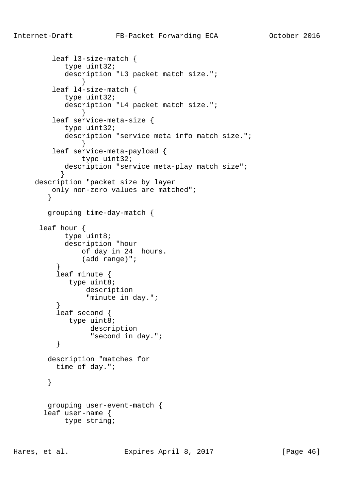```
 leaf l3-size-match {
            type uint32;
            description "L3 packet match size.";
 }
         leaf l4-size-match {
            type uint32;
            description "L4 packet match size.";
 }
         leaf service-meta-size {
            type uint32;
            description "service meta info match size.";
 }
         leaf service-meta-payload {
               type uint32;
           description "service meta-play match size";
 }
     description "packet size by layer
        only non-zero values are matched";
 }
        grouping time-day-match {
      leaf hour {
            type uint8;
            description "hour
               of day in 24 hours.
                (add range)";
 }
          leaf minute {
            type uint8;
                description
                "minute in day.";
 }
          leaf second {
           type uint8;
                 description
         "second in day.";<br>}
 }
        description "matches for
          time of day.";
        }
        grouping user-event-match {
       leaf user-name {
           type string;
```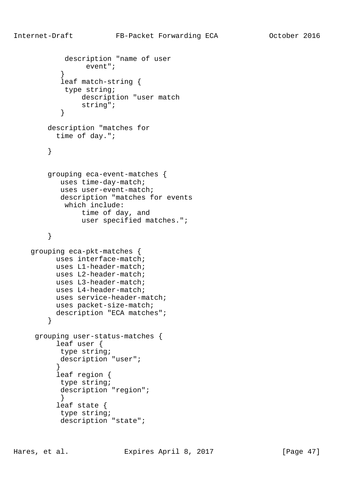```
 description "name of user
                  event";
 }
            leaf match-string {
             type string;
                 description "user match
                 string";
 }
         description "matches for
           time of day.";
         }
         grouping eca-event-matches {
            uses time-day-match;
            uses user-event-match;
            description "matches for events
             which include:
                 time of day, and
                 user specified matches.";
         }
    grouping eca-pkt-matches {
           uses interface-match;
           uses L1-header-match;
           uses L2-header-match;
           uses L3-header-match;
           uses L4-header-match;
           uses service-header-match;
          uses packet-size-match;
           description "ECA matches";
         }
     grouping user-status-matches {
           leaf user {
           type string;
           description "user";
 }
           leaf region {
           type string;
            description "region";
            }
           leaf state {
            type string;
            description "state";
```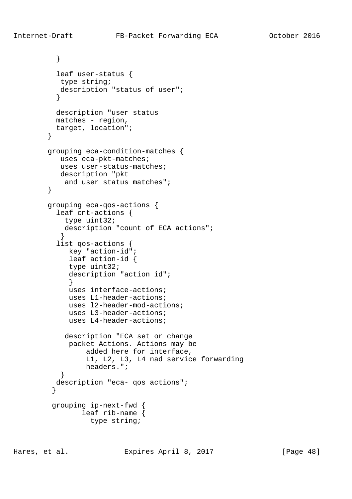```
 }
          leaf user-status {
           type string;
           description "status of user";
 }
          description "user status
          matches - region,
       target, location";<br>}
 }
        grouping eca-condition-matches {
           uses eca-pkt-matches;
           uses user-status-matches;
           description "pkt
            and user status matches";
        }
        grouping eca-qos-actions {
          leaf cnt-actions {
            type uint32;
            description "count of ECA actions";
 }
          list qos-actions {
            key "action-id";
             leaf action-id {
             type uint32;
             description "action id";
 }
             uses interface-actions;
             uses L1-header-actions;
             uses l2-header-mod-actions;
             uses L3-header-actions;
             uses L4-header-actions;
            description "ECA set or change
             packet Actions. Actions may be
                 added here for interface,
                 L1, L2, L3, L4 nad service forwarding
                 headers.";
 }
          description "eca- qos actions";
 }
         grouping ip-next-fwd {
                leaf rib-name {
                  type string;
```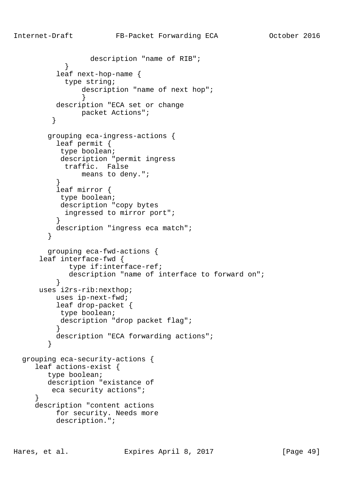```
 description "name of RIB";
 }
          leaf next-hop-name {
            type string;
                description "name of next hop";
 }
          description "ECA set or change
        packet Actions";<br>}
 }
        grouping eca-ingress-actions {
          leaf permit {
           type boolean;
           description "permit ingress
           traffic. False
               means to deny.";
 }
          leaf mirror {
          type boolean;
          description "copy bytes
            ingressed to mirror port";
 }
          description "ingress eca match";
 }
        grouping eca-fwd-actions {
      leaf interface-fwd {
             type if:interface-ref;
             description "name of interface to forward on";
 }
      uses i2rs-rib:nexthop;
          uses ip-next-fwd;
          leaf drop-packet {
          type boolean;
          description "drop packet flag";
 }
          description "ECA forwarding actions";
 }
  grouping eca-security-actions {
     leaf actions-exist {
        type boolean;
        description "existance of
         eca security actions";
     }
     description "content actions
          for security. Needs more
          description.";
```
Hares, et al. Expires April 8, 2017 [Page 49]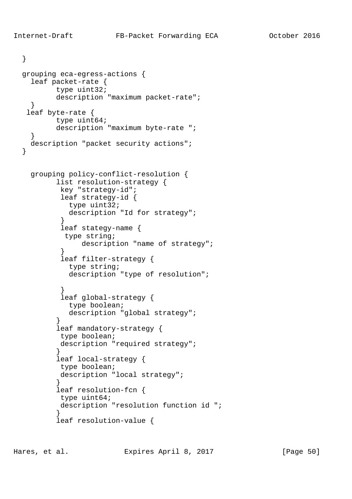}

}

```
 grouping eca-egress-actions {
    leaf packet-rate {
          type uint32;
          description "maximum packet-rate";
    }
   leaf byte-rate {
          type uint64;
          description "maximum byte-rate ";
 }
    description "packet security actions";
    grouping policy-conflict-resolution {
          list resolution-strategy {
           key "strategy-id";
           leaf strategy-id {
             type uint32;
             description "Id for strategy";
 }
           leaf stategy-name {
            type string;
               description "name of strategy";
 }
           leaf filter-strategy {
             type string;
             description "type of resolution";
 }
           leaf global-strategy {
             type boolean;
             description "global strategy";
 }
          leaf mandatory-strategy {
           type boolean;
           description "required strategy";
 }
          leaf local-strategy {
           type boolean;
           description "local strategy";
 }
          leaf resolution-fcn {
           type uint64;
           description "resolution function id ";
 }
          leaf resolution-value {
```
Hares, et al. Expires April 8, 2017 [Page 50]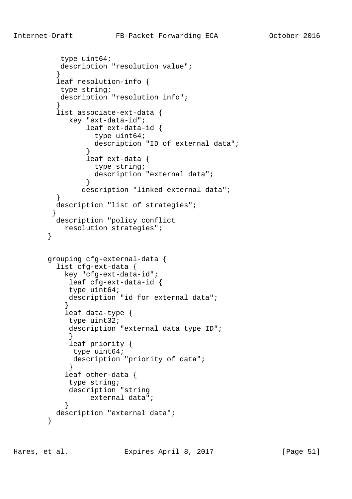```
 type uint64;
          description "resolution value";
 }
          leaf resolution-info {
          type string;
          description "resolution info";
 }
          list associate-ext-data {
            key "ext-data-id";
                leaf ext-data-id {
                  type uint64;
                  description "ID of external data";
 }
                leaf ext-data {
                  type string;
                  description "external data";
 }
               description "linked external data";
 }
          description "list of strategies";
 }
          description "policy conflict
           resolution strategies";
        }
        grouping cfg-external-data {
          list cfg-ext-data {
           key "cfg-ext-data-id";
            leaf cfg-ext-data-id {
            type uint64;
            description "id for external data";
 }
            leaf data-type {
            type uint32;
            description "external data type ID";
 }
            leaf priority {
             type uint64;
             description "priority of data";
 }
            leaf other-data {
            type string;
            description "string
                 external data";
 }
          description "external data";
 }
```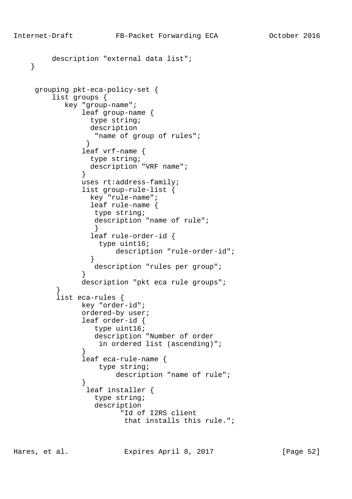```
 description "external data list";
    }
     grouping pkt-eca-policy-set {
         list groups {
            key "group-name";
               leaf group-name {
                 type string;
                 description
                  "name of group of rules";
 }
               leaf vrf-name {
                 type string;
                 description "VRF name";
 }
               uses rt:address-family;
               list group-rule-list {
                 key "rule-name";
                 leaf rule-name {
                  type string;
                  description "name of rule";
 }
                 leaf rule-order-id {
                  type uint16;
                       description "rule-order-id";
 }
                  description "rules per group";
 }
               description "pkt eca rule groups";
 }
          list eca-rules {
               key "order-id";
               ordered-by user;
               leaf order-id {
                  type uint16;
                  description "Number of order
                   in ordered list (ascending)";
 }
               leaf eca-rule-name {
                  type string;
                       description "name of rule";
 }
                leaf installer {
                  type string;
                  description
                        "Id of I2RS client
                         that installs this rule.";
```
Hares, et al. Expires April 8, 2017 [Page 52]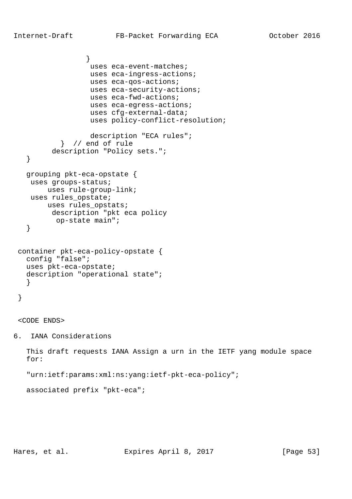```
 }
                   uses eca-event-matches;
                   uses eca-ingress-actions;
                   uses eca-qos-actions;
                   uses eca-security-actions;
                   uses eca-fwd-actions;
                   uses eca-egress-actions;
                   uses cfg-external-data;
                   uses policy-conflict-resolution;
                   description "ECA rules";
            } // end of rule
         description "Policy sets.";
    }
   grouping pkt-eca-opstate {
    uses groups-status;
        uses rule-group-link;
   uses rules opstate;
        uses rules_opstats;
         description "pkt eca policy
          op-state main";
    }
 container pkt-eca-policy-opstate {
   config "false";
   uses pkt-eca-opstate;
   description "operational state";
    }
 }
```
<CODE ENDS>

6. IANA Considerations

 This draft requests IANA Assign a urn in the IETF yang module space for:

"urn:ietf:params:xml:ns:yang:ietf-pkt-eca-policy";

associated prefix "pkt-eca";

Hares, et al. Expires April 8, 2017 [Page 53]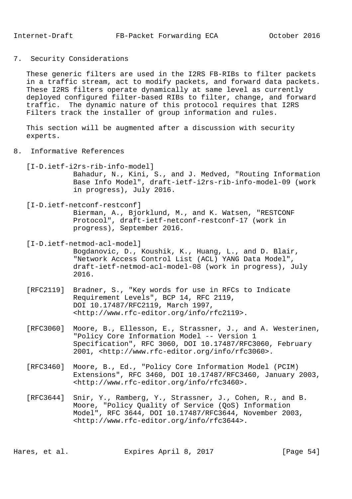7. Security Considerations

 These generic filters are used in the I2RS FB-RIBs to filter packets in a traffic stream, act to modify packets, and forward data packets. These I2RS filters operate dynamically at same level as currently deployed configured filter-based RIBs to filter, change, and forward traffic. The dynamic nature of this protocol requires that I2RS Filters track the installer of group information and rules.

 This section will be augmented after a discussion with security experts.

- 8. Informative References
	- [I-D.ietf-i2rs-rib-info-model]

 Bahadur, N., Kini, S., and J. Medved, "Routing Information Base Info Model", draft-ietf-i2rs-rib-info-model-09 (work in progress), July 2016.

[I-D.ietf-netconf-restconf]

 Bierman, A., Bjorklund, M., and K. Watsen, "RESTCONF Protocol", draft-ietf-netconf-restconf-17 (work in progress), September 2016.

[I-D.ietf-netmod-acl-model]

 Bogdanovic, D., Koushik, K., Huang, L., and D. Blair, "Network Access Control List (ACL) YANG Data Model", draft-ietf-netmod-acl-model-08 (work in progress), July 2016.

- [RFC2119] Bradner, S., "Key words for use in RFCs to Indicate Requirement Levels", BCP 14, RFC 2119, DOI 10.17487/RFC2119, March 1997, <http://www.rfc-editor.org/info/rfc2119>.
- [RFC3060] Moore, B., Ellesson, E., Strassner, J., and A. Westerinen, "Policy Core Information Model -- Version 1 Specification", RFC 3060, DOI 10.17487/RFC3060, February 2001, <http://www.rfc-editor.org/info/rfc3060>.
- [RFC3460] Moore, B., Ed., "Policy Core Information Model (PCIM) Extensions", RFC 3460, DOI 10.17487/RFC3460, January 2003, <http://www.rfc-editor.org/info/rfc3460>.
- [RFC3644] Snir, Y., Ramberg, Y., Strassner, J., Cohen, R., and B. Moore, "Policy Quality of Service (QoS) Information Model", RFC 3644, DOI 10.17487/RFC3644, November 2003, <http://www.rfc-editor.org/info/rfc3644>.

Hares, et al. Expires April 8, 2017 [Page 54]